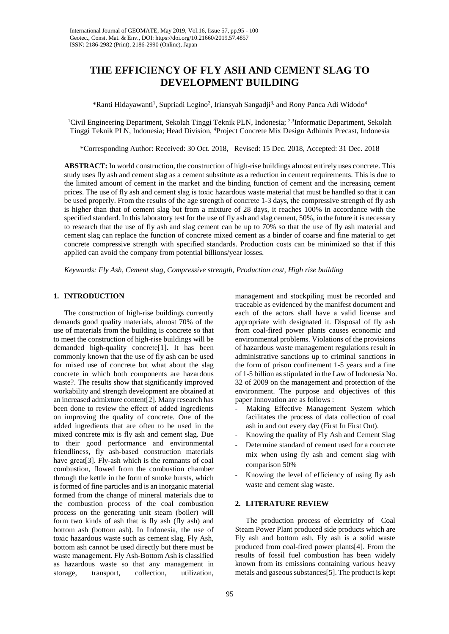# **THE EFFICIENCY OF FLY ASH AND CEMENT SLAG TO DEVELOPMENT BUILDING**

\*Ranti Hidayawanti<sup>1</sup>, Supriadi Legino<sup>2</sup>, Iriansyah Sangadji<sup>3,</sup> and Rony Panca Adi Widodo<sup>4</sup>

<sup>1</sup>Civil Engineering Department, Sekolah Tinggi Teknik PLN, Indonesia; <sup>2,3</sup>Informatic Department, Sekolah Tinggi Teknik PLN, Indonesia; Head Division, 4 Project Concrete Mix Design Adhimix Precast, Indonesia

\*Corresponding Author: Received: 30 Oct. 2018, Revised: 15 Dec. 2018, Accepted: 31 Dec. 2018

**ABSTRACT:** In world construction, the construction of high-rise buildings almost entirely uses concrete. This study uses fly ash and cement slag as a cement substitute as a reduction in cement requirements. This is due to the limited amount of cement in the market and the binding function of cement and the increasing cement prices. The use of fly ash and cement slag is toxic hazardous waste material that must be handled so that it can be used properly. From the results of the age strength of concrete 1-3 days, the compressive strength of fly ash is higher than that of cement slag but from a mixture of 28 days, it reaches 100% in accordance with the specified standard. In this laboratory test for the use of fly ash and slag cement, 50%, in the future it is necessary to research that the use of fly ash and slag cement can be up to 70% so that the use of fly ash material and cement slag can replace the function of concrete mixed cement as a binder of coarse and fine material to get concrete compressive strength with specified standards. Production costs can be minimized so that if this applied can avoid the company from potential billions/year losses.

*Keywords: Fly Ash, Cement slag, Compressive strength, Production cost, High rise building*

# **1. INTRODUCTION**

The construction of high-rise buildings currently demands good quality materials, almost 70% of the use of materials from the building is concrete so that to meet the construction of high-rise buildings will be demanded high-quality concrete[1]**.** It has been commonly known that the use of fly ash can be used for mixed use of concrete but what about the slag concrete in which both components are hazardous waste?. The results show that significantly improved workability and strength development are obtained at an increased admixture content[2]. Many research has been done to review the effect of added ingredients on improving the quality of concrete. One of the added ingredients that are often to be used in the mixed concrete mix is fly ash and cement slag. Due to their good performance and environmental friendliness, fly ash-based construction materials have great<sup>[3]</sup>. Fly-ash which is the remnants of coal combustion, flowed from the combustion chamber through the kettle in the form of smoke bursts, which is formed of fine particles and is an inorganic material formed from the change of mineral materials due to the combustion process of the coal combustion process on the generating unit steam (boiler) will form two kinds of ash that is fly ash (fly ash) and bottom ash (bottom ash). In Indonesia, the use of toxic hazardous waste such as cement slag, Fly Ash, bottom ash cannot be used directly but there must be waste management. Fly Ash-Bottom Ash is classified as hazardous waste so that any management in storage, transport, collection, utilization,

management and stockpiling must be recorded and traceable as evidenced by the manifest document and each of the actors shall have a valid license and appropriate with designated it. Disposal of fly ash from coal-fired power plants causes economic and environmental problems. Violations of the provisions of hazardous waste management regulations result in administrative sanctions up to criminal sanctions in the form of prison confinement 1-5 years and a fine of 1-5 billion as stipulated in the Law of Indonesia No. 32 of 2009 on the management and protection of the environment. The purpose and objectives of this paper Innovation are as follows :

- Making Effective Management System which facilitates the process of data collection of coal ash in and out every day (First In First Out).
- Knowing the quality of Fly Ash and Cement Slag
- Determine standard of cement used for a concrete mix when using fly ash and cement slag with comparison 50%
- Knowing the level of efficiency of using fly ash waste and cement slag waste.

# **2. LITERATURE REVIEW**

The production process of electricity of Coal Steam Power Plant produced side products which are Fly ash and bottom ash. Fly ash is a solid waste produced from coal-fired power plants[4]. From the results of fossil fuel combustion has been widely known from its emissions containing various heavy metals and gaseous substances[5]. The product is kept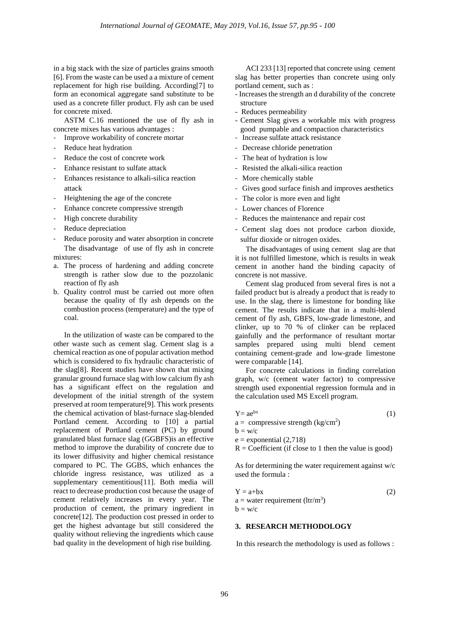in a big stack with the size of particles grains smooth [6]. From the waste can be used a a mixture of cement replacement for high rise building. According[7] to form an economical aggregate sand substitute to be used as a concrete filler product. Fly ash can be used for concrete mixed.

ASTM C.16 mentioned the use of fly ash in concrete mixes has various advantages :

- Improve workability of concrete mortar
- Reduce heat hydration
- Reduce the cost of concrete work
- Enhance resistant to sulfate attack
- Enhances resistance to alkali-silica reaction attack
- Heightening the age of the concrete
- Enhance concrete compressive strength
- High concrete durability
- Reduce depreciation
- Reduce porosity and water absorption in concrete The disadvantage of use of fly ash in concrete
- mixtures: a. The process of hardening and adding concrete strength is rather slow due to the pozzolanic reaction of fly ash
- b. Quality control must be carried out more often because the quality of fly ash depends on the combustion process (temperature) and the type of coal.

In the utilization of waste can be compared to the other waste such as cement slag. Cement slag is a chemical reaction as one of popular activation method which is considered to fix hydraulic characteristic of the slag[8]. Recent studies have shown that mixing granular ground furnace slag with low calcium fly ash has a significant effect on the regulation and development of the initial strength of the system preserved at room temperature[9]. This work presents the chemical activation of blast-furnace slag-blended Portland cement. According to [10] a partial replacement of Portland cement (PC) by ground granulated blast furnace slag (GGBFS)is an effective method to improve the durability of concrete due to its lower diffusivity and higher chemical resistance compared to PC. The GGBS, which enhances the chloride ingress resistance, was utilized as a supplementary cementitious[11]. Both media will react to decrease production cost because the usage of cement relatively increases in every year. The production of cement, the primary ingredient in concrete[12]. The production cost pressed in order to get the highest advantage but still considered the quality without relieving the ingredients which cause bad quality in the development of high rise building.

ACI 233 [13] reported that concrete using cement slag has better properties than concrete using only portland cement, such as :

- Increases the strength an d durability of the concrete structure
- Reduces permeability
- Cement Slag gives a workable mix with progress good pumpable and compaction characteristics
- Increase sulfate attack resistance
- Decrease chloride penetration
- The heat of hydration is low
- Resisted the alkali-silica reaction
- More chemically stable
- Gives good surface finish and improves aesthetics
- The color is more even and light
- Lower chances of Florence
- Reduces the maintenance and repair cost
- Cement slag does not produce carbon dioxide, sulfur dioxide or nitrogen oxides.

The disadvantages of using cement slag are that it is not fulfilled limestone, which is results in weak cement in another hand the binding capacity of concrete is not massive.

Cement slag produced from several fires is not a failed product but is already a product that is ready to use. In the slag, there is limestone for bonding like cement. The results indicate that in a multi-blend cement of fly ash, GBFS, low-grade limestone, and clinker, up to 70 % of clinker can be replaced gainfully and the performance of resultant mortar samples prepared using multi blend cement containing cement-grade and low-grade limestone were comparable [14].

For concrete calculations in finding correlation graph, w/c (cement water factor) to compressive strength used exponential regression formula and in the calculation used MS Excell program.

$$
Y = ae^{bx}
$$
\n
$$
a = \text{compressive strength (kg/cm}^2)
$$
\n
$$
b = w/c
$$
\n
$$
e = \text{exponential (2,718)}
$$
\n
$$
R = \text{Coefficient (if close to 1 then the value is good)}
$$

As for determining the water requirement against w/c used the formula :

$$
Y = a+bx
$$
  
a = water requirement (Itr/m<sup>3</sup>)  
b = w/c (2)

# **3. RESEARCH METHODOLOGY**

In this research the methodology is used as follows :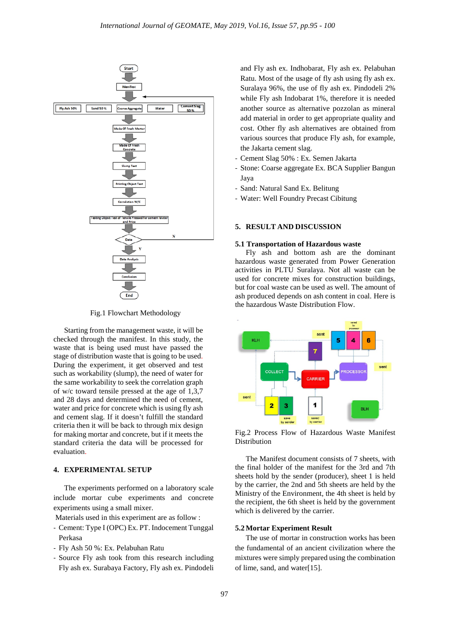

Fig.1 Flowchart Methodology

Starting from the management waste, it will be checked through the manifest. In this study, the waste that is being used must have passed the stage of distribution waste that is going to be used. During the experiment, it get observed and test such as workability (slump), the need of water for the same workability to seek the correlation graph of w/c toward tensile pressed at the age of 1,3,7 and 28 days and determined the need of cement, water and price for concrete which is using fly ash and cement slag. If it doesn't fulfill the standard criteria then it will be back to through mix design for making mortar and concrete, but if it meets the standard criteria the data will be processed for evaluation.

## **4. EXPERIMENTAL SETUP**

The experiments performed on a laboratory scale include mortar cube experiments and concrete experiments using a small mixer.

Materials used in this experiment are as follow :

- Cement: Type I (OPC) Ex. PT. Indocement Tunggal Perkasa
- Fly Ash 50 %: Ex. Pelabuhan Ratu
- Source Fly ash took from this research including Fly ash ex. Surabaya Factory, Fly ash ex. Pindodeli

and Fly ash ex. Indhobarat, Fly ash ex. Pelabuhan Ratu. Most of the usage of fly ash using fly ash ex. Suralaya 96%, the use of fly ash ex. Pindodeli 2% while Fly ash Indobarat 1%, therefore it is needed another source as alternative pozzolan as mineral add material in order to get appropriate quality and cost. Other fly ash alternatives are obtained from various sources that produce Fly ash, for example, the Jakarta cement slag.

- Cement Slag 50% : Ex. Semen Jakarta
- Stone: Coarse aggregate Ex. BCA Supplier Bangun Jaya
- Sand: Natural Sand Ex. Belitung
- Water: Well Foundry Precast Cibitung

## **5. RESULT AND DISCUSSION**

#### **5.1 Transportation of Hazardous waste**

Fly ash and bottom ash are the dominant hazardous waste generated from Power Generation activities in PLTU Suralaya. Not all waste can be used for concrete mixes for construction buildings, but for coal waste can be used as well. The amount of ash produced depends on ash content in coal. Here is the hazardous Waste Distribution Flow.



Fig.2 Process Flow of Hazardous Waste Manifest Distribution

The Manifest document consists of 7 sheets, with the final holder of the manifest for the 3rd and 7th sheets hold by the sender (producer), sheet 1 is held by the carrier, the 2nd and 5th sheets are held by the Ministry of the Environment, the 4th sheet is held by the recipient, the 6th sheet is held by the government which is delivered by the carrier.

### **5.2 Mortar Experiment Result**

The use of mortar in construction works has been the fundamental of an ancient civilization where the mixtures were simply prepared using the combination of lime, sand, and water[15].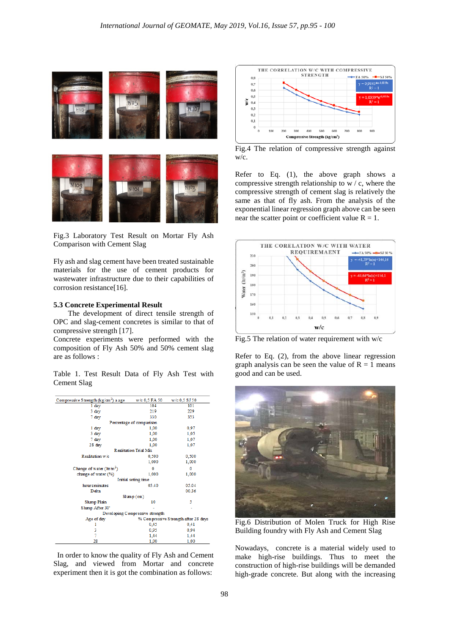

Fig.3 Laboratory Test Result on Mortar Fly Ash Comparison with Cement Slag

Fly ash and slag cement have been treated sustainable materials for the use of cement products for wastewater infrastructure due to their capabilities of corrosion resistance[16].

#### **5.3 Concrete Experimental Result**

The development of direct tensile strength of OPC and slag-cement concretes is similar to that of compressive strength [17].

Concrete experiments were performed with the composition of Fly Ash 50% and 50% cement slag are as follows :

Table 1. Test Result Data of Fly Ash Test with Cement Slag



 In order to know the quality of Fly Ash and Cement Slag, and viewed from Mortar and concrete experiment then it is got the combination as follows:



Fig.4 The relation of compressive strength against w/c.

Refer to Eq. (1), the above graph shows a compressive strength relationship to w / c, where the compressive strength of cement slag is relatively the same as that of fly ash. From the analysis of the exponential linear regression graph above can be seen near the scatter point or coefficient value  $R = 1$ .



Fig.5 The relation of water requirement with w/c

Refer to Eq. (2), from the above linear regression graph analysis can be seen the value of  $R = 1$  means good and can be used.



Fig.6 Distribution of Molen Truck for High Rise Building foundry with Fly Ash and Cement Slag

Nowadays, concrete is a material widely used to make high-rise buildings. Thus to meet the construction of high-rise buildings will be demanded high-grade concrete. But along with the increasing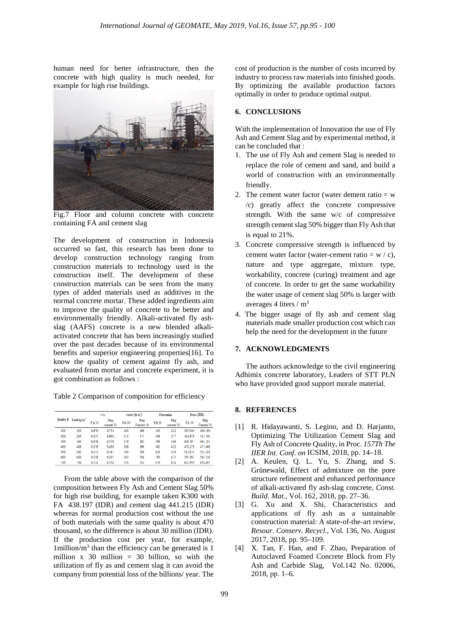human need for better infrastructure, then the concrete with high quality is much needed, for example for high rise buildings.



Fig.7 Floor and column concrete with concrete containing FA and cement slag

The development of construction in Indonesia occurred so fast, this research has been done to develop construction technology ranging from construction materials to technology used in the construction itself. The development of these construction materials can be seen from the many types of added materials used as additives in the normal concrete mortar. These added ingredients aim to improve the quality of concrete to be better and environmentally friendly. Alkali-activated fly ashslag (AAFS) concrete is a new blended alkaliactivated concrete that has been increasingly studied over the past decades because of its environmental benefits and superior engineering properties[16]. To know the quality of cement against fly ash, and evaluated from mortar and concrete experiment, it is got combination as follows :

Table 2 Comparison of composition for efficiency

| Quality K | Goal kg/m <sup>3</sup> | w/e   |                   | water $(ltr/m3)$ |                   | Cementius |                   | Price (IDR) |                   |
|-----------|------------------------|-------|-------------------|------------------|-------------------|-----------|-------------------|-------------|-------------------|
|           |                        | FA50  | Slag<br>cement 50 | FA 50            | Slag<br>Cement 50 | FA 50     | Slag<br>cement 50 | FA 50       | Slag<br>Cement 50 |
| 100       | 149                    | 0.670 | 0.754             | 163              | 166               | 243       | 221               | 395.940     | 400.190           |
| 200       | 249                    | 0,554 | 0,630             | 171              | 174               | 308       | 277               | 413.879     | 417.701           |
| 300       | 349                    | 0,458 | 0,526             | 178              | 182               | 389       | 346               | 438.197     | 441.215           |
| 400       | 449                    | 0.379 | 0,439             | 186              | 190               | 492       | 432               | 470.279     | 471.946           |
| 500       | 549                    | 0.313 | 0,367             | 194              | 198               | 620       | 539               | 511.874     | 511.418           |
| 600       | 649                    | 0,259 | 0.307             | 202              | 206               | 780       | 671               | 565.181     | 561.524           |
| 700       | 749                    | 0,214 | 0,256             | 210              | 214               | 979       | 834               | 632.950     | 624.607           |

From the table above with the comparison of the composition between Fly Ash and Cement Slag 50% for high rise building, for example taken K300 with FA 438.197 (IDR) and cement slag 441.215 (IDR) whereas for normal production cost without the use of both materials with the same quality is about 470 thousand, so the difference is about 30 million (IDR). If the production cost per year, for example,  $1$ million/m<sup>3</sup> than the efficiency can be generated is 1 million x 30 million =  $30$  billion, so with the utilization of fly as and cement slag it can avoid the company from potential loss of the billions/ year. The cost of production is the number of costs incurred by industry to process raw materials into finished goods. By optimizing the available production factors optimally in order to produce optimal output.

## **6. CONCLUSIONS**

With the implementation of Innovation the use of Fly Ash and Cement Slag and by experimental method, it can be concluded that :

- 1. The use of Fly Ash and cement Slag is needed to replace the role of cement and sand, and build a world of construction with an environmentally friendly.
- 2. The cement water factor (water dement ratio  $= w$ /c) greatly affect the concrete compressive strength. With the same w/c of compressive strength cement slag 50% bigger than Fly Ash that is equal to 21%.
- 3. Concrete compressive strength is influenced by cement water factor (water-cement ratio =  $w / c$ ). nature and type aggregate, mixture type, workability, concrete (curing) treatment and age of concrete. In order to get the same workability the water usage of cement slag 50% is larger with averages 4 liters / m3
- 4. The bigger usage of fly ash and cement slag materials made smaller production cost which can help the need for the development in the future

## **7. ACKNOWLEDGMENTS**

The authors acknowledge to the civil engineering Adhimix concrete laboratory, Leaders of STT PLN who have provided good support morale material.

## **8. REFERENCES**

- [1] R. Hidayawanti, S. Legino, and D. Harjanto, Optimizing The Utilization Cement Slag and Fly Ash of Concrete Quality, in Proc. *157Th The IIER Int. Conf. on* ICSIM, 2018, pp. 14–18.
- [2] A. Keulen, Q. L. Yu, S. Zhang, and S. Grünewald, Effect of admixture on the pore structure refinement and enhanced performance of alkali-activated fly ash-slag concrete, *Const. Build. Mat.*, Vol. 162, 2018, pp. 27–36.
- [3] G. Xu and X. Shi, Characteristics and applications of fly ash as a sustainable construction material: A state-of-the-art review, *Resour. Conserv. Recycl.*, Vol. 136, No. August 2017, 2018, pp. 95–109.
- [4] X. Tan, F. Han, and F. Zhao, Preparation of Autoclaved Foamed Concrete Block from Fly Ash and Carbide Slag, Vol.142 No. 02006, 2018, pp. 1–6.